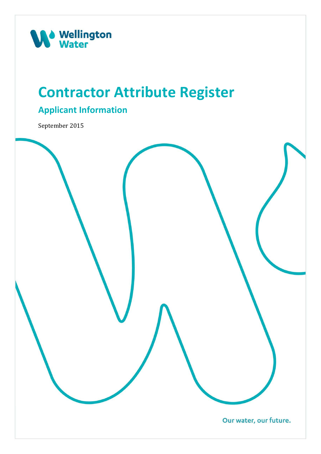

### **Contractor Attribute Register**

### **Applicant Information**

September 2015

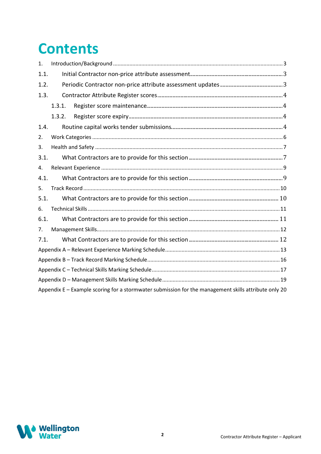## **Contents**

| 1.   |        |                                                                                                      |  |  |  |  |  |
|------|--------|------------------------------------------------------------------------------------------------------|--|--|--|--|--|
| 1.1. |        |                                                                                                      |  |  |  |  |  |
| 1.2. |        |                                                                                                      |  |  |  |  |  |
| 1.3. |        |                                                                                                      |  |  |  |  |  |
|      | 1.3.1. |                                                                                                      |  |  |  |  |  |
|      | 1.3.2. |                                                                                                      |  |  |  |  |  |
| 1.4. |        |                                                                                                      |  |  |  |  |  |
| 2.   |        |                                                                                                      |  |  |  |  |  |
| 3.   |        |                                                                                                      |  |  |  |  |  |
| 3.1. |        |                                                                                                      |  |  |  |  |  |
| 4.   |        |                                                                                                      |  |  |  |  |  |
| 4.1. |        |                                                                                                      |  |  |  |  |  |
| 5.   |        |                                                                                                      |  |  |  |  |  |
| 5.1. |        |                                                                                                      |  |  |  |  |  |
| 6.   |        |                                                                                                      |  |  |  |  |  |
| 6.1. |        |                                                                                                      |  |  |  |  |  |
| 7.   |        |                                                                                                      |  |  |  |  |  |
| 7.1. |        |                                                                                                      |  |  |  |  |  |
|      |        |                                                                                                      |  |  |  |  |  |
|      |        |                                                                                                      |  |  |  |  |  |
|      |        |                                                                                                      |  |  |  |  |  |
|      |        |                                                                                                      |  |  |  |  |  |
|      |        | Appendix E - Example scoring for a stormwater submission for the management skills attribute only 20 |  |  |  |  |  |

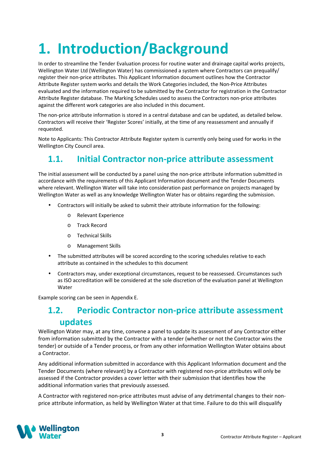# **1. Introduction/Background**

In order to streamline the Tender Evaluation process for routine water and drainage capital works projects, Wellington Water Ltd (Wellington Water) has commissioned a system where Contractors can prequalify/ register their non-price attributes. This Applicant Information document outlines how the Contractor Attribute Register system works and details the Work Categories included, the Non-Price Attributes evaluated and the information required to be submitted by the Contractor for registration in the Contractor Attribute Register database. The Marking Schedules used to assess the Contractors non-price attributes against the different work categories are also included in this document.

The non-price attribute information is stored in a central database and can be updated, as detailed below. Contractors will receive their 'Register Scores' initially, at the time of any reassessment and annually if requested.

Note to Applicants: This Contractor Attribute Register system is currently only being used for works in the Wellington City Council area.

### **1.1. Initial Contractor non-price attribute assessment**

The initial assessment will be conducted by a panel using the non-price attribute information submitted in accordance with the requirements of this Applicant Information document and the Tender Documents where relevant. Wellington Water will take into consideration past performance on projects managed by Wellington Water as well as any knowledge Wellington Water has or obtains regarding the submission.

- Contractors will initially be asked to submit their attribute information for the following:
	- o Relevant Experience
	- o Track Record
	- o Technical Skills
	- o Management Skills
- The submitted attributes will be scored according to the scoring schedules relative to each attribute as contained in the schedules to this document
- Contractors may, under exceptional circumstances, request to be reassessed. Circumstances such as ISO accreditation will be considered at the sole discretion of the evaluation panel at Wellington Water

Example scoring can be seen in Appendix E.

### **1.2. Periodic Contractor non-price attribute assessment updates**

Wellington Water may, at any time, convene a panel to update its assessment of any Contractor either from information submitted by the Contractor with a tender (whether or not the Contractor wins the tender) or outside of a Tender process, or from any other information Wellington Water obtains about a Contractor.

Any additional information submitted in accordance with this Applicant Information document and the Tender Documents (where relevant) by a Contractor with registered non-price attributes will only be assessed if the Contractor provides a cover letter with their submission that identifies how the additional information varies that previously assessed.

A Contractor with registered non-price attributes must advise of any detrimental changes to their nonprice attribute information, as held by Wellington Water at that time. Failure to do this will disqualify

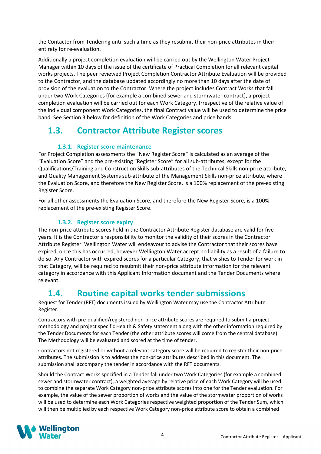the Contactor from Tendering until such a time as they resubmit their non-price attributes in their entirety for re-evaluation.

Additionally a project completion evaluation will be carried out by the Wellington Water Project Manager within 10 days of the issue of the certificate of Practical Completion for all relevant capital works projects. The peer reviewed Project Completion Contractor Attribute Evaluation will be provided to the Contractor, and the database updated accordingly no more than 10 days after the date of provision of the evaluation to the Contractor. Where the project includes Contract Works that fall under two Work Categories (for example a combined sewer and stormwater contract), a project completion evaluation will be carried out for each Work Category. Irrespective of the relative value of the individual component Work Categories, the final Contract value will be used to determine the price band. See Section 3 below for definition of the Work Categories and price bands.

### **1.3. Contractor Attribute Register scores**

### **1.3.1. Register score maintenance**

For Project Completion assessments the "New Register Score" is calculated as an average of the "Evaluation Score" and the pre-existing "Register Score" for all sub-attributes, except for the Qualifications/Training and Construction Skills sub-attributes of the Technical Skills non-price attribute, and Quality Management Systems sub-attribute of the Management Skills non-price attribute, where the Evaluation Score, and therefore the New Register Score, is a 100% replacement of the pre-existing Register Score.

For all other assessments the Evaluation Score, and therefore the New Register Score, is a 100% replacement of the pre-existing Register Score.

### **1.3.2. Register score expiry**

The non-price attribute scores held in the Contractor Attribute Register database are valid for five years. It is the Contractor's responsibility to monitor the validity of their scores in the Contractor Attribute Register. Wellington Water will endeavour to advise the Contractor that their scores have expired, once this has occurred, however Wellington Water accept no liability as a result of a failure to do so. Any Contractor with expired scores for a particular Category, that wishes to Tender for work in that Category, will be required to resubmit their non-price attribute information for the relevant category in accordance with this Applicant Information document and the Tender Documents where relevant.

### **1.4. Routine capital works tender submissions**

Request for Tender (RFT) documents issued by Wellington Water may use the Contractor Attribute Register.

Contractors with pre-qualified/registered non-price attribute scores are required to submit a project methodology and project specific Health & Safety statement along with the other information required by the Tender Documents for each Tender (the other attribute scores will come from the central database). The Methodology will be evaluated and scored at the time of tender.

Contractors not registered or without a relevant category score will be required to register their non-price attributes. The submission is to address the non-price attributes described in this document. The submission shall accompany the tender in accordance with the RFT documents.

Should the Contract Works specified in a Tender fall under two Work Categories (for example a combined sewer and stormwater contract), a weighted average by relative price of each Work Category will be used to combine the separate Work Category non-price attribute scores into one for the Tender evaluation. For example, the value of the sewer proportion of works and the value of the stormwater proportion of works will be used to determine each Work Categories respective weighted proportion of the Tender Sum, which will then be multiplied by each respective Work Category non-price attribute score to obtain a combined

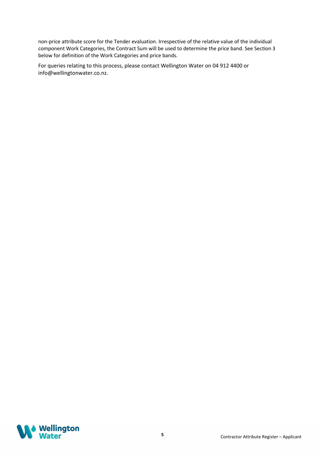non-price attribute score for the Tender evaluation. Irrespective of the relative value of the individual component Work Categories, the Contract Sum will be used to determine the price band. See Section 3 below for definition of the Work Categories and price bands.

For queries relating to this process, please contact Wellington Water on 04 912 4400 or info@wellingtonwater.co.nz.

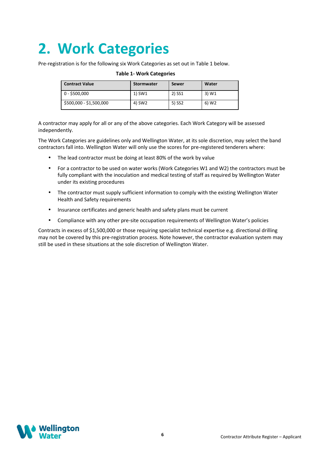## **2. Work Categories**

Pre-registration is for the following six Work Categories as set out in Table 1 below.

| <b>Contract Value</b>   | <b>Stormwater</b> | Sewer  | Water             |
|-------------------------|-------------------|--------|-------------------|
| $0 - $500,000$          | 1) SW1            | 2) SS1 | 3) W1             |
| \$500,000 - \$1,500,000 | 4) SW2            | 5) SS2 | 6) W <sub>2</sub> |

#### **Table 1- Work Categories**

A contractor may apply for all or any of the above categories. Each Work Category will be assessed independently.

The Work Categories are guidelines only and Wellington Water, at its sole discretion, may select the band contractors fall into. Wellington Water will only use the scores for pre-registered tenderers where:

- The lead contractor must be doing at least 80% of the work by value
- For a contractor to be used on water works (Work Categories W1 and W2) the contractors must be fully compliant with the inoculation and medical testing of staff as required by Wellington Water under its existing procedures
- The contractor must supply sufficient information to comply with the existing Wellington Water Health and Safety requirements
- Insurance certificates and generic health and safety plans must be current
- Compliance with any other pre-site occupation requirements of Wellington Water's policies

Contracts in excess of \$1,500,000 or those requiring specialist technical expertise e.g. directional drilling may not be covered by this pre-registration process. Note however, the contractor evaluation system may still be used in these situations at the sole discretion of Wellington Water.

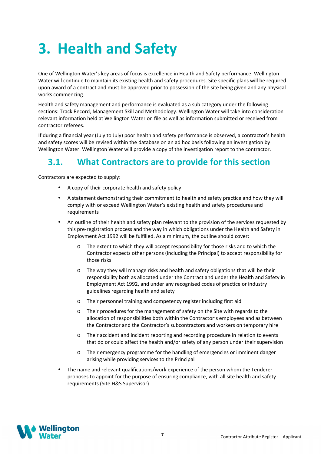## **3. Health and Safety**

One of Wellington Water's key areas of focus is excellence in Health and Safety performance. Wellington Water will continue to maintain its existing health and safety procedures. Site specific plans will be required upon award of a contract and must be approved prior to possession of the site being given and any physical works commencing.

Health and safety management and performance is evaluated as a sub category under the following sections: Track Record, Management Skill and Methodology. Wellington Water will take into consideration relevant information held at Wellington Water on file as well as information submitted or received from contractor referees.

If during a financial year (July to July) poor health and safety performance is observed, a contractor's health and safety scores will be revised within the database on an ad hoc basis following an investigation by Wellington Water. Wellington Water will provide a copy of the investigation report to the contractor.

### **3.1. What Contractors are to provide for this section**

Contractors are expected to supply:

- A copy of their corporate health and safety policy
- A statement demonstrating their commitment to health and safety practice and how they will comply with or exceed Wellington Water's existing health and safety procedures and requirements
- An outline of their health and safety plan relevant to the provision of the services requested by this pre-registration process and the way in which obligations under the Health and Safety in Employment Act 1992 will be fulfilled. As a minimum, the outline should cover:
	- o The extent to which they will accept responsibility for those risks and to which the Contractor expects other persons (including the Principal) to accept responsibility for those risks
	- o The way they will manage risks and health and safety obligations that will be their responsibility both as allocated under the Contract and under the Health and Safety in Employment Act 1992, and under any recognised codes of practice or industry guidelines regarding health and safety
	- o Their personnel training and competency register including first aid
	- o Their procedures for the management of safety on the Site with regards to the allocation of responsibilities both within the Contractor's employees and as between the Contractor and the Contractor's subcontractors and workers on temporary hire
	- o Their accident and incident reporting and recording procedure in relation to events that do or could affect the health and/or safety of any person under their supervision
	- o Their emergency programme for the handling of emergencies or imminent danger arising while providing services to the Principal
- The name and relevant qualifications/work experience of the person whom the Tenderer proposes to appoint for the purpose of ensuring compliance, with all site health and safety requirements (Site H&S Supervisor)

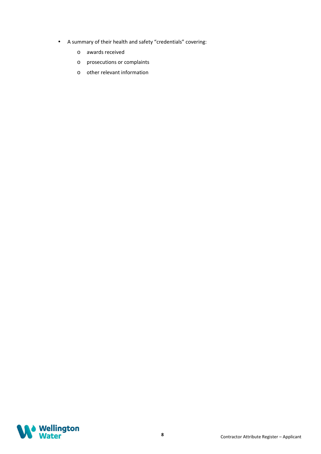- A summary of their health and safety "credentials" covering:
	- o awards received
	- o prosecutions or complaints
	- o other relevant information

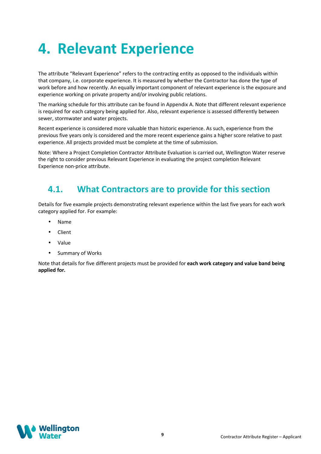## **4. Relevant Experience**

The attribute "Relevant Experience" refers to the contracting entity as opposed to the individuals within that company, i.e. corporate experience. It is measured by whether the Contractor has done the type of work before and how recently. An equally important component of relevant experience is the exposure and experience working on private property and/or involving public relations.

The marking schedule for this attribute can be found in Appendix A. Note that different relevant experience is required for each category being applied for. Also, relevant experience is assessed differently between sewer, stormwater and water projects.

Recent experience is considered more valuable than historic experience. As such, experience from the previous five years only is considered and the more recent experience gains a higher score relative to past experience. All projects provided must be complete at the time of submission.

Note: Where a Project Completion Contractor Attribute Evaluation is carried out, Wellington Water reserve the right to consider previous Relevant Experience in evaluating the project completion Relevant Experience non-price attribute.

### **4.1. What Contractors are to provide for this section**

Details for five example projects demonstrating relevant experience within the last five years for each work category applied for. For example:

- Name
- Client
- Value
- Summary of Works

Note that details for five different projects must be provided for **each work category and value band being applied for.** 

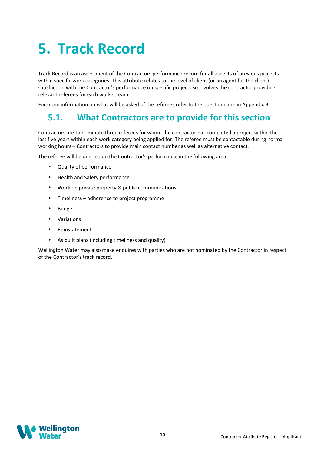## **5. Track Record**

Track Record is an assessment of the Contractors performance record for all aspects of previous projects within specific work categories. This attribute relates to the level of client (or an agent for the client) satisfaction with the Contractor's performance on specific projects so involves the contractor providing relevant referees for each work stream.

For more information on what will be asked of the referees refer to the questionnaire in Appendix B.

### **5.1. What Contractors are to provide for this section**

Contractors are to nominate three referees for whom the contractor has completed a project within the last five years within each work category being applied for. The referee must be contactable during normal working hours – Contractors to provide main contact number as well as alternative contact.

The referee will be queried on the Contractor's performance in the following areas:

- Quality of performance
- Health and Safety performance
- Work on private property & public communications
- Timeliness adherence to project programme
- Budget
- Variations
- Reinstatement
- As built plans (including timeliness and quality)

Wellington Water may also make enquires with parties who are not nominated by the Contractor in respect of the Contractor's track record.

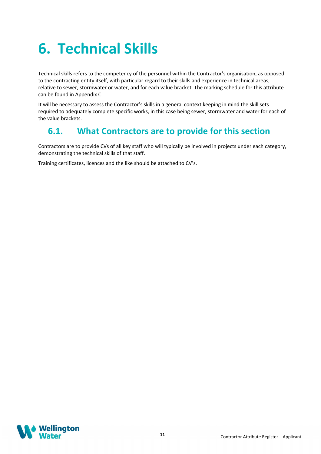# **6. Technical Skills**

Technical skills refers to the competency of the personnel within the Contractor's organisation, as opposed to the contracting entity itself, with particular regard to their skills and experience in technical areas, relative to sewer, stormwater or water, and for each value bracket. The marking schedule for this attribute can be found in Appendix C.

It will be necessary to assess the Contractor's skills in a general context keeping in mind the skill sets required to adequately complete specific works, in this case being sewer, stormwater and water for each of the value brackets.

### **6.1. What Contractors are to provide for this section**

Contractors are to provide CVs of all key staff who will typically be involved in projects under each category, demonstrating the technical skills of that staff.

Training certificates, licences and the like should be attached to CV's.

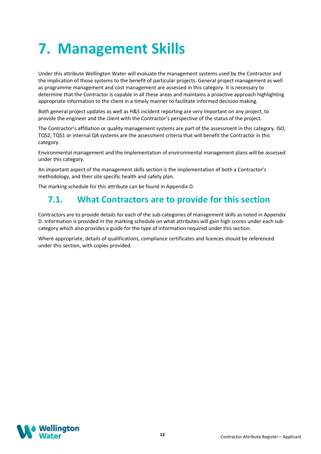## **7. Management Skills**

Under this attribute Wellington Water will evaluate the management systems used by the Contractor and the implication of those systems to the benefit of particular projects. General project management as well as programme management and cost management are assessed in this category. It is necessary to determine that the Contractor is capable in all these areas and maintains a proactive approach highlighting appropriate information to the client in a timely manner to facilitate informed decision making.

Both general project updates as well as H&S incident reporting are very important on any project, to provide the engineer and the client with the Contractor's perspective of the status of the project.

The Contractor's affiliation or quality management systems are part of the assessment in this category. ISO, TQS2, TQS1 or internal QA systems are the assessment criteria that will benefit the Contractor in this category.

Environmental management and the implementation of environmental management plans will be assessed under this category.

An important aspect of the management skills section is the implementation of both a Contractor's methodology, and their site specific health and safety plan.

The marking schedule for this attribute can be found in Appendix D.

### **7.1. What Contractors are to provide for this section**

Contractors are to provide details for each of the sub-categories of management skills as noted in Appendix D. Information is provided in the marking schedule on what attributes will gain high scores under each subcategory which also provides a guide for the type of information required under this section.

Where appropriate, details of qualifications, compliance certificates and licences should be referenced under this section, with copies provided.

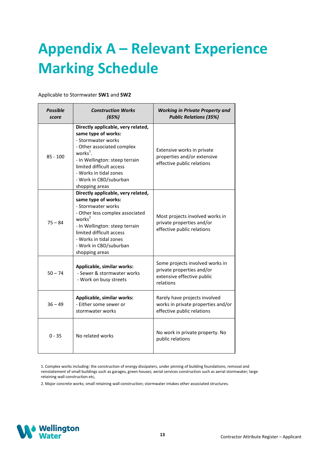## **Appendix A – Relevant Experience Marking Schedule**

Applicable to Stormwater **SW1** and **SW2**

| <b>Possible</b><br>score | <b>Construction Works</b><br>(65%)                                                                                                                                                                                                                                           | <b>Working in Private Property and</b><br><b>Public Relations (35%)</b>                                 |  |  |
|--------------------------|------------------------------------------------------------------------------------------------------------------------------------------------------------------------------------------------------------------------------------------------------------------------------|---------------------------------------------------------------------------------------------------------|--|--|
| $85 - 100$               | Directly applicable, very related,<br>same type of works:<br>- Stormwater works<br>- Other associated complex<br>works $^1$ .<br>- In Wellington: steep terrain<br>limited difficult access<br>- Works in tidal zones<br>- Work in CBD/suburban<br>shopping areas            | Extensive works in private<br>properties and/or extensive<br>effective public relations                 |  |  |
| $75 - 84$                | Directly applicable, very related,<br>same type of works:<br>- Stormwater works<br>- Other less complex associated<br>works <sup>2</sup><br>- In Wellington: steep terrain<br>limited difficult access<br>- Works in tidal zones<br>- Work in CBD/suburban<br>shopping areas | Most projects involved works in<br>private properties and/or<br>effective public relations              |  |  |
| $50 - 74$                | Applicable, similar works:<br>- Sewer & stormwater works<br>- Work on busy streets                                                                                                                                                                                           | Some projects involved works in<br>private properties and/or<br>extensive effective public<br>relations |  |  |
| $36 - 49$                | Applicable, similar works:<br>- Either some sewer or<br>stormwater works                                                                                                                                                                                                     | Rarely have projects involved<br>works in private properties and/or<br>effective public relations       |  |  |
| $0 - 35$                 | No related works                                                                                                                                                                                                                                                             | No work in private property. No<br>public relations                                                     |  |  |

1. Complex works including: the construction of energy dissipaters, under pinning of building foundations; removal and reinstatement of small buildings such as garages, green houses; aerial services construction such as aerial stormwater; large retaining wall construction etc,

2. Major concrete works; small retaining wall construction; stormwater intakes other associated structures.

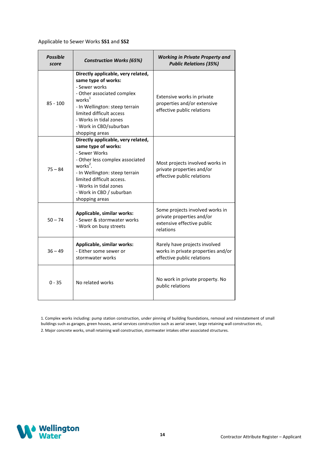#### Applicable to Sewer Works **SS1** and **SS2**

| <b>Possible</b><br>score | <b>Construction Works (65%)</b>                                                                                                                                                                                                                                              | <b>Working in Private Property and</b><br><b>Public Relations (35%)</b>                                 |
|--------------------------|------------------------------------------------------------------------------------------------------------------------------------------------------------------------------------------------------------------------------------------------------------------------------|---------------------------------------------------------------------------------------------------------|
| $85 - 100$               | Directly applicable, very related,<br>same type of works:<br>- Sewer works<br>- Other associated complex<br>works $1$<br>- In Wellington: steep terrain<br>limited difficult access<br>- Works in tidal zones<br>- Work in CBD/suburban<br>shopping areas                    | Extensive works in private<br>properties and/or extensive<br>effective public relations                 |
| $75 - 84$                | Directly applicable, very related,<br>same type of works:<br>- Sewer Works<br>- Other less complex associated<br>works <sup>2</sup> .<br>- In Wellington: steep terrain<br>limited difficult access.<br>- Works in tidal zones<br>- Work in CBD / suburban<br>shopping areas | Most projects involved works in<br>private properties and/or<br>effective public relations              |
| $50 - 74$                | Applicable, similar works:<br>- Sewer & stormwater works<br>- Work on busy streets                                                                                                                                                                                           | Some projects involved works in<br>private properties and/or<br>extensive effective public<br>relations |
| $36 - 49$                | Applicable, similar works:<br>- Either some sewer or<br>stormwater works                                                                                                                                                                                                     | Rarely have projects involved<br>works in private properties and/or<br>effective public relations       |
| $0 - 35$                 | No related works                                                                                                                                                                                                                                                             | No work in private property. No<br>public relations                                                     |

1. Complex works including: pump station construction, under pinning of building foundations, removal and reinstatement of small buildings such as garages, green houses, aerial services construction such as aerial sewer, large retaining wall construction etc,

2. Major concrete works, small retaining wall construction, stormwater intakes other associated structures.

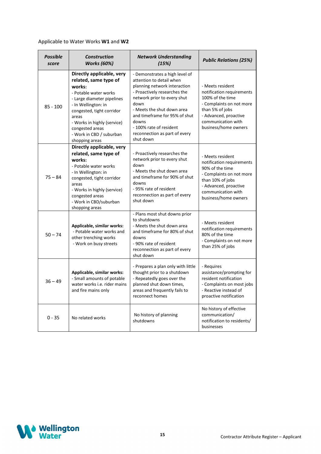### Applicable to Water Works **W1** and **W2**

| <b>Possible</b><br>score | <b>Construction</b><br><b>Works (60%)</b>                                                                                                                                                                                                                                        | <b>Network Understanding</b><br>(15%)                                                                                                                                                                                                                                                                              | <b>Public Relations (25%)</b>                                                                                                                                                           |  |  |
|--------------------------|----------------------------------------------------------------------------------------------------------------------------------------------------------------------------------------------------------------------------------------------------------------------------------|--------------------------------------------------------------------------------------------------------------------------------------------------------------------------------------------------------------------------------------------------------------------------------------------------------------------|-----------------------------------------------------------------------------------------------------------------------------------------------------------------------------------------|--|--|
| $85 - 100$               | Directly applicable, very<br>related, same type of<br>works:<br>- Potable water works<br>- Large diameter pipelines<br>- In Wellington: in<br>congested, tight corridor<br>areas<br>- Works in highly (service)<br>congested areas<br>- Work in CBD / suburban<br>shopping areas | - Demonstrates a high level of<br>attention to detail when<br>planning network interaction<br>- Proactively researches the<br>network prior to every shut<br>down<br>- Meets the shut down area<br>and timeframe for 95% of shut<br>downs<br>- 100% rate of resident<br>reconnection as part of every<br>shut down | - Meets resident<br>notification requirements<br>100% of the time<br>- Complaints on not more<br>than 5% of jobs<br>- Advanced, proactive<br>communication with<br>business/home owners |  |  |
| $75 - 84$                | Directly applicable, very<br>related, same type of<br>works:<br>- Potable water works<br>- In Wellington: in<br>congested, tight corridor<br>areas<br>- Works in highly (service)<br>congested areas<br>- Work in CBD/suburban<br>shopping areas                                 | - Proactively researches the<br>network prior to every shut<br>down<br>- Meets the shut down area<br>and timeframe for 90% of shut<br>downs<br>- 95% rate of resident<br>reconnection as part of every<br>shut down                                                                                                | - Meets resident<br>notification requirements<br>90% of the time<br>- Complaints on not more<br>than 10% of jobs<br>- Advanced, proactive<br>communication with<br>business/home owners |  |  |
| $50 - 74$                | Applicable, similar works:<br>- Potable water works and<br>other trenching works<br>- Work on busy streets                                                                                                                                                                       | - Plans most shut downs prior<br>to shutdowns<br>- Meets the shut down area<br>and timeframe for 80% of shut<br>downs<br>- 90% rate of resident<br>reconnection as part of every<br>shut down                                                                                                                      | - Meets resident<br>notification requirements<br>80% of the time<br>- Complaints on not more<br>than 25% of jobs                                                                        |  |  |
| $36 - 49$                | Applicable, similar works:<br>- Small amounts of potable<br>water works i.e. rider mains<br>and fire mains only                                                                                                                                                                  | - Prepares a plan only with little<br>thought prior to a shutdown<br>- Repeatedly goes over the<br>planned shut down times,<br>areas and frequently fails to<br>reconnect homes                                                                                                                                    | - Requires<br>assistance/prompting for<br>resident notification<br>- Complaints on most jobs<br>- Reactive instead of<br>proactive notification                                         |  |  |
| $0 - 35$                 | No related works                                                                                                                                                                                                                                                                 | No history of planning<br>shutdowns                                                                                                                                                                                                                                                                                | No history of effective<br>communication/<br>notification to residents/<br>businesses                                                                                                   |  |  |

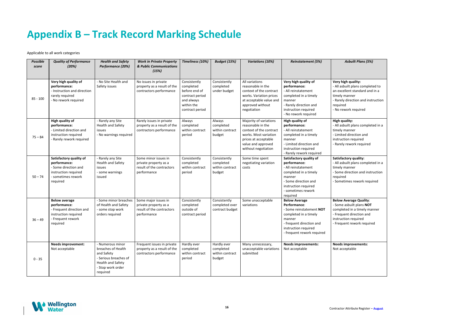#### *Asbuilt Plans (5%)*

#### *<u>igh quality:</u>*

## **Appendix B – Track Record Marking Schedule**

Applicable to all work categories

- All asbuilt plans completed in a
	- manner
- Limited direction and
	- ction required
	- ly rework required

#### **Sactory quality:**

- All asbuilt plans completed to ellent standard and in a
	- v manner
	- ly direction and instruction ed
- No rework required

#### **High property:**

- All asbuilt plans completed in a
	- manner
- Some direction and instruction
	- ed
	- etimes rework required

#### **B** Average Quality:

- **asbuilt plans NOT**
- completed in a timely manner
	- ent direction and
	- ction required
	- ent rework required

#### **improvements:** ceptable

| <b>Possible</b><br>score | <b>Quality of Performance</b><br>(20%)                                                                                    | <b>Health and Safety</b><br>Performance (20%)                                                                                       | <b>Work in Private Property</b><br>& Public Communications<br>(15%)                       | Timeliness (10%)                                                                                             | <b>Budget (15%)</b>                                    | <b>Variations (10%)</b>                                                                                                                                              | <b>Reinstatement (5%)</b>                                                                                                                                                             |                                                                         |
|--------------------------|---------------------------------------------------------------------------------------------------------------------------|-------------------------------------------------------------------------------------------------------------------------------------|-------------------------------------------------------------------------------------------|--------------------------------------------------------------------------------------------------------------|--------------------------------------------------------|----------------------------------------------------------------------------------------------------------------------------------------------------------------------|---------------------------------------------------------------------------------------------------------------------------------------------------------------------------------------|-------------------------------------------------------------------------|
| $85 - 100$               | Very high quality of<br>performance:<br>- Instruction and direction<br>rarely required<br>- No rework required            | - No Site Health and<br>Safety issues                                                                                               | No issues in private<br>property as a result of the<br>contractors performance            | Consistently<br>completed<br>before end of<br>contract period<br>and always<br>within the<br>contract period | Consistently<br>completed<br>under budget              | All variations<br>reasonable in the<br>context of the contract<br>works. Variation prices<br>at acceptable value and<br>approved without<br>negotiation              | Very high quality of<br>performance:<br>- All reinstatement<br>completed in a timely<br>manner<br>- Rarely direction and<br>instruction required<br>- No rework required              | Very h<br>- All as<br>an exc<br>timely<br>- Rarel<br>require<br>- No re |
| $75 - 84$                | High quality of<br>performance:<br>- Limited direction and<br>instruction required<br>- Rarely rework required            | - Rarely any Site<br><b>Health and Safety</b><br>issues<br>- No warnings required                                                   | Rarely issues in private<br>property as a result of the<br>contractors performance        | Always<br>completed<br>within contract<br>period                                                             | Always<br>completed<br>within contract<br>budget       | Majority of variations<br>reasonable in the<br>context of the contract<br>works. Most variation<br>prices at acceptable<br>value and approved<br>without negotiation | High quality of<br>performance:<br>- All reinstatement<br>completed in a timely<br>manner<br>- Limited direction and<br>instruction required<br>- Rarely rework required              | High q<br>- All as<br>timely<br>- Limit<br>instruc<br>- Rarel           |
| $50 - 74$                | Satisfactory quality of<br>performance:<br>- Some direction and<br>instruction required<br>- sometimes rework<br>required | - Rarely any Site<br>Health and Safety<br>issues<br>- some warnings<br>issued                                                       | Some minor issues in<br>private property as a<br>result of the contractors<br>performance | Consistently<br>completed<br>within contract<br>period                                                       | Consistently<br>completed<br>within contract<br>budget | Some time spent<br>negotiating variation<br>costs                                                                                                                    | Satisfactory quality of<br>performance:<br>- All reinstatement<br>completed in a timely<br>manner<br>- Some direction and<br>instruction required<br>- sometimes rework<br>required   | Satisfa<br>- All as<br>timely<br>- Some<br>require<br>- Some            |
| $36 - 49$                | <b>Below average</b><br>performance:<br>- Frequent direction and<br>instruction required<br>- Frequent rework<br>required | - Some minor breaches<br>of Health and Safety<br>- some stop work<br>orders required                                                | Some major issues in<br>private property as a<br>result of the contractors<br>performance | Consistently<br>completed<br>outside of<br>contract period                                                   | Consistently<br>completed over<br>contract budget      | Some unacceptable<br>variations                                                                                                                                      | <b>Below Average</b><br>Performance:<br>- Some reinstatement NOT<br>completed in a timely<br>manner<br>- frequent direction and<br>instruction required<br>- frequent rework required | <b>Below</b><br>- Some<br>comple<br>- Frequ<br>instruc<br>- Frequ       |
| $0 - 35$                 | <b>Needs improvement:</b><br>Not acceptable                                                                               | - Numerous minor<br>breaches of Health<br>and Safety<br>- Serious breaches of<br>Health and Safety<br>- Stop work order<br>required | Frequent issues in private<br>property as a result of the<br>contractors performance      | Hardly ever<br>completed<br>within contract<br>period                                                        | Hardly ever<br>completed<br>within contract<br>budget  | Many unnecessary,<br>unacceptable variations<br>submitted                                                                                                            | <b>Needs improvements:</b><br>Not acceptable                                                                                                                                          | <b>Needs</b><br>Not ac                                                  |

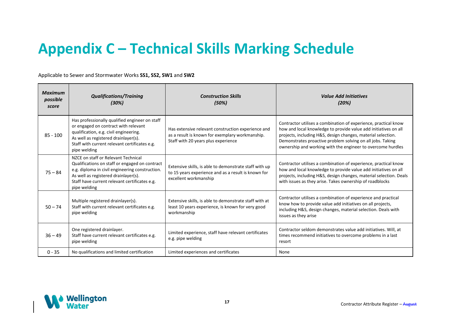## **Appendix C – Technical Skills Marking Schedule**

Applicable to Sewer and Stormwater Works **SS1, SS2, SW1** and **SW2**

| <b>Maximum</b><br>possible<br>score | <b>Qualifications/Training</b><br>(30%)                                                                                                                                                                                                           | <b>Construction Skills</b><br>(50%)                                                                                                          | <b>Value Add Initiatives</b><br>(20%)                                                                                                                                                                                                                                                                                           |
|-------------------------------------|---------------------------------------------------------------------------------------------------------------------------------------------------------------------------------------------------------------------------------------------------|----------------------------------------------------------------------------------------------------------------------------------------------|---------------------------------------------------------------------------------------------------------------------------------------------------------------------------------------------------------------------------------------------------------------------------------------------------------------------------------|
| $85 - 100$                          | Has professionally qualified engineer on staff<br>or engaged on contract with relevant<br>qualification, e.g. civil engineering.<br>As well as registered drainlayer(s).<br>Staff with current relevant certificates e.g.<br>pipe welding         | Has extensive relevant construction experience and<br>as a result is known for exemplary workmanship.<br>Staff with 20 years plus experience | Contractor utilises a combination of experience, practical know<br>how and local knowledge to provide value add initiatives on all<br>projects, including H&S, design changes, material selection.<br>Demonstrates proactive problem solving on all jobs. Taking<br>ownership and working with the engineer to overcome hurdles |
| $75 - 84$                           | NZCE on staff or Relevant Technical<br>Qualifications on staff or engaged on contract<br>e.g. diploma in civil engineering construction.<br>As well as registered drainlayer(s).<br>Staff have current relevant certificates e.g.<br>pipe welding | Extensive skills, is able to demonstrate staff with up<br>to 15 years experience and as a result is known for<br>excellent workmanship       | Contractor utilises a combination of experience, practical know<br>how and local knowledge to provide value add initiatives on all<br>projects, including H&S, design changes, material selection. Deals<br>with issues as they arise. Takes ownership of roadblocks                                                            |
| $50 - 74$                           | Multiple registered drainlayer(s).<br>Staff with current relevant certificates e.g.<br>pipe welding                                                                                                                                               | Extensive skills, is able to demonstrate staff with at<br>least 10 years experience, is known for very good<br>workmanship                   | Contractor utilises a combination of experience and practical<br>know how to provide value add initiatives on all projects,<br>including H&S, design changes, material selection. Deals with<br>issues as they arise                                                                                                            |
| $36 - 49$                           | One registered drainlayer.<br>Staff have current relevant certificates e.g.<br>pipe welding                                                                                                                                                       | Limited experience, staff have relevant certificates<br>e.g. pipe welding                                                                    | Contractor seldom demonstrates value add initiatives. Will, at<br>times recommend initiatives to overcome problems in a last<br>resort                                                                                                                                                                                          |
| $0 - 35$                            | No qualifications and limited certification                                                                                                                                                                                                       | Limited experiences and certificates                                                                                                         | None                                                                                                                                                                                                                                                                                                                            |

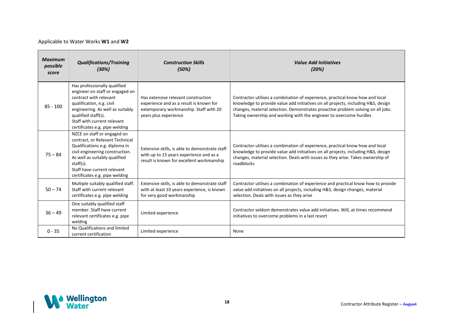#### Applicable to Water Works **W1** and **W2**

| <b>Maximum</b><br>possible<br>score | <b>Qualifications/Training</b><br>(30%)                                                                                                                                                                                                            | <b>Construction Skills</b><br>(50%)                                                                                                               | <b>Value Add Initiatives</b><br>(20%)                                                                                                                                                                                                                                                                                        |
|-------------------------------------|----------------------------------------------------------------------------------------------------------------------------------------------------------------------------------------------------------------------------------------------------|---------------------------------------------------------------------------------------------------------------------------------------------------|------------------------------------------------------------------------------------------------------------------------------------------------------------------------------------------------------------------------------------------------------------------------------------------------------------------------------|
| $85 - 100$                          | Has professionally qualified<br>engineer on staff or engaged on<br>contract with relevant<br>qualification, e.g. civil<br>engineering. As well as suitably<br>qualified staff(s).<br>Staff with current relevant<br>certificates e.g. pipe welding | Has extensive relevant construction<br>experience and as a result is known for<br>extemporary workmanship. Staff with 20<br>years plus experience | Contractor utilises a combination of experience, practical know how and local<br>knowledge to provide value add initiatives on all projects, including H&S, design<br>changes, material selection. Demonstrates proactive problem solving on all jobs.<br>Taking ownership and working with the engineer to overcome hurdles |
| $75 - 84$                           | NZCE on staff or engaged on<br>contract, or Relevant Technical<br>Qualifications e.g. diploma in<br>civil engineering construction.<br>As well as suitably qualified<br>staff(s).<br>Staff have current relevant<br>certificates e.g. pipe welding | Extensive skills, is able to demonstrate staff<br>with up to 15 years experience and as a<br>result is known for excellent workmanship            | Contractor utilises a combination of experience, practical know how and local<br>knowledge to provide value add initiatives on all projects, including H&S, design<br>changes, material selection. Deals with issues as they arise. Takes ownership of<br>roadblocks                                                         |
| $50 - 74$                           | Multiple suitably qualified staff.<br>Staff with current relevant<br>certificates e.g. pipe welding                                                                                                                                                | Extensive skills, is able to demonstrate staff<br>with at least 10 years experience, is known<br>for very good workmanship                        | Contractor utilises a combination of experience and practical know how to provide<br>value add initiatives on all projects, including H&S, design changes, material<br>selection. Deals with issues as they arise                                                                                                            |
| $36 - 49$                           | One suitably qualified staff<br>member. Staff have current<br>relevant certificates e.g. pipe<br>welding                                                                                                                                           | Limited experience                                                                                                                                | Contractor seldom demonstrates value add initiatives. Will, at times recommend<br>initiatives to overcome problems in a last resort                                                                                                                                                                                          |
| $0 - 35$                            | No Qualifications and limited<br>current certification                                                                                                                                                                                             | Limited experience                                                                                                                                | None                                                                                                                                                                                                                                                                                                                         |

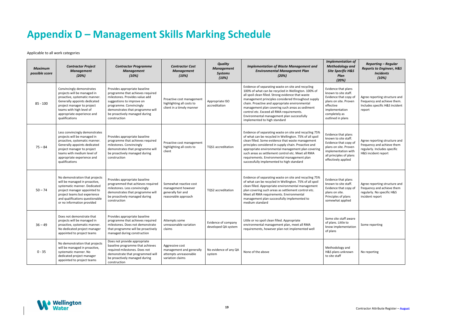## **Appendix D – Management Skills Marking Schedule**

Applicable to all work categories

| <b>Maximum</b><br>possible score | <b>Contractor Project</b><br><b>Management</b><br>(20%)                                                                                                                                                                                    | <b>Contractor Programme</b><br><b>Management</b><br>(10%)                                                                                                                                                                                        | <b>Contractor Cost</b><br><b>Management</b><br>(10%)                                      | <b>Quality</b><br><b>Management</b><br><b>Systems</b><br>(10%) | <b>Implementation of Waste Management and</b><br><b>Environmental Management Plan</b><br>(20%)                                                                                                                                                                                                                                                                                                                                                        | <b>Implementation of</b><br><b>Methodology</b> and<br><b>Site Specific H&amp;S</b><br>Plan<br>(20%)                                                                    | <b>Reporting - Regular</b><br><b>Reports to Engineer, H&amp;S</b><br><b>Incidents</b><br>(10%)                     |
|----------------------------------|--------------------------------------------------------------------------------------------------------------------------------------------------------------------------------------------------------------------------------------------|--------------------------------------------------------------------------------------------------------------------------------------------------------------------------------------------------------------------------------------------------|-------------------------------------------------------------------------------------------|----------------------------------------------------------------|-------------------------------------------------------------------------------------------------------------------------------------------------------------------------------------------------------------------------------------------------------------------------------------------------------------------------------------------------------------------------------------------------------------------------------------------------------|------------------------------------------------------------------------------------------------------------------------------------------------------------------------|--------------------------------------------------------------------------------------------------------------------|
| $85 - 100$                       | Convincingly demonstrates<br>projects will be managed in<br>proactive, systematic manner.<br>Generally appoints dedicated<br>project manager to project<br>teams with high level of<br>appropriate experience and<br>qualifications        | Provides appropriate baseline<br>programme that achieves required<br>milestones. Provides value add<br>suggestions to improve on<br>programme. Convincingly<br>demonstrates that programme will<br>be proactively managed during<br>construction | Proactive cost management<br>highlighting all costs to<br>client in a timely manner       | Appropriate ISO<br>accreditation                               | Evidence of separating waste on site and recycling<br>100% of what can be recycled in Wellington. 100% of<br>all spoil clean filled. Strong evidence that waste<br>management principles considered throughout supply<br>chain. Proactive and appropriate environmental<br>management plan covering such areas as sediment<br>control etc. Exceed all RMA requirements.<br>Environmental management plan successfully<br>implemented to high standard | Evidence that plans<br>known to site staff.<br>Evidence that copy of<br>plans on site. Proven<br>effective<br>implementation<br>completely as<br>outlined in plans     | Agree reporting structure and<br>frequency and achieve them.<br>Includes specific H&S incident<br>report           |
| $75 - 84$                        | Less convincingly demonstrates<br>projects will be managed in<br>proactive, systematic manner.<br>Generally appoints dedicated<br>project manager to project<br>teams with medium level of<br>appropriate experience and<br>qualifications | Provides appropriate baseline<br>programme that achieves required<br>milestones. Convincingly<br>demonstrates that programme will<br>be proactively managed during<br>construction                                                               | Proactive cost management<br>highlighting all costs to<br>client                          | TQS1 accreditation                                             | Evidence of separating waste on site and recycling 75%<br>of what can be recycled in Wellington. 75% of all spoil<br>clean filled. Some evidence that waste management<br>principles considered in supply chain. Proactive and<br>appropriate environmental management plan covering<br>such areas as settlement control etc. Meet all RMA<br>requirements. Environmental management plan<br>successfully implemented to high standard                | Evidence that plans<br>known to site staff.<br>Evidence that copy of<br>plans on site. Proven<br>implementation with<br>all principles of plans<br>effectively applied | Agree reporting structure and<br>frequency and achieve them<br>regularly. Includes specific<br>H&S incident report |
| $50 - 74$                        | No demonstration that projects<br>will be managed in proactive,<br>systematic manner. Dedicated<br>project manager appointed to<br>project teams but experience<br>and qualifications questionable<br>or no information provided           | Provides appropriate baseline<br>programmed that achieves required<br>milestones. Less convincingly<br>demonstrates that programme will<br>be proactively managed during<br>construction                                                         | Somewhat reactive cost<br>management however<br>generally fair and<br>reasonable approach | <b>TQS2</b> accreditation                                      | Evidence of separating waste on site and recycling 75%<br>of what can be recycled in Wellington. 75% of all spoil<br>clean filled. Appropriate environmental management<br>plan covering such areas as settlement control etc.<br>Meet all RMA requirements. Environmental<br>management plan successfully implemented to<br>medium standard                                                                                                          | Evidence that plans<br>known to site staff.<br>Evidence that copy of<br>plans on site.<br>Principles of plans<br>somewhat applied                                      | Agree reporting structure and<br>frequency and achieve them<br>regularly. No specific H&S<br>incident report       |
| $36 - 49$                        | Does not demonstrate that<br>projects will be managed in<br>proactive, systematic manner.<br>No dedicated project manager<br>appointed to project teams                                                                                    | Provides appropriate baseline<br>programme that achieves required<br>milestones. Does not demonstrate<br>that programme will be proactively<br>managed during construction                                                                       | Attempts some<br>unreasonable variation<br>claims                                         | Evidence of company<br>developed QA system                     | Little or no spoil clean filled. Appropriate<br>environmental management plan, meet all RMA<br>requirements, however plan not implemented well                                                                                                                                                                                                                                                                                                        | Some site staff aware<br>of plans. Little to<br>know implementation<br>of plans                                                                                        | Some reporting                                                                                                     |
| $0 - 35$                         | No demonstration that projects<br>will be managed in proactive,<br>systematic manner. No<br>dedicated project manager<br>appointed to project teams                                                                                        | Does not provide appropriate<br>baseline programme that achieves<br>required milestones. Does not<br>demonstrate that programmed will<br>be proactively managed during<br>construction                                                           | Aggressive cost<br>management and generally<br>attempts unreasonable<br>variation claims  | No evidence of any QA<br>system                                | None of the above                                                                                                                                                                                                                                                                                                                                                                                                                                     | Methodology and<br>H&S plans unknown<br>to site staff                                                                                                                  | No reporting                                                                                                       |